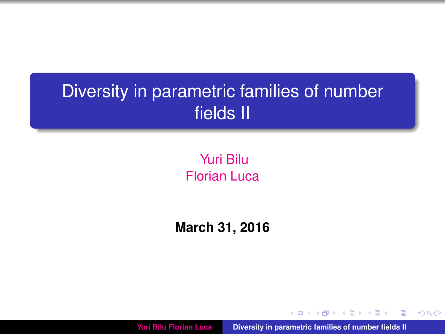# Diversity in parametric families of number fields II

# Yuri Bilu Florian Luca

# **March 31, 2016**

**Yuri Bilu Florian Luca [Diversity in parametric families of number fields II](#page-38-0)**

**K 向 → K ヨ →** 

 $2Q$ 

<span id="page-0-0"></span>Þ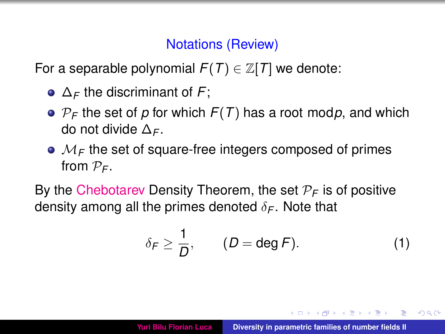#### Notations (Review)

For a separable polynomial  $F(T) \in \mathbb{Z}[T]$  we denote:

- ∆*<sup>F</sup>* the discriminant of *F*;
- $\bullet$   $P_F$  the set of *p* for which  $F(T)$  has a root mod*p*, and which do not divide ∆*<sup>F</sup>* .
- $M_F$  the set of square-free integers composed of primes from  $P_F$ .

By the Chebotarev Density Theorem, the set  $P_F$  is of positive density among all the primes denoted  $\delta_F$ . Note that

$$
\delta_F \geq \frac{1}{D}, \qquad (D = \deg F). \tag{1}
$$

イロト イ母 トイヨ トイヨ

 $2Q$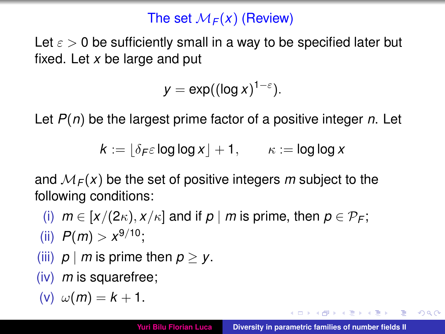## The set  $M_F(x)$  (Review)

Let  $\varepsilon > 0$  be sufficiently small in a way to be specified later but fixed. Let *x* be large and put

$$
y = \exp((\log x)^{1-\varepsilon}).
$$

Let *P*(*n*) be the largest prime factor of a positive integer *n*. Let

$$
k := \lfloor \delta_F \varepsilon \log \log x \rfloor + 1, \qquad \kappa := \log \log x
$$

and  $M_F(x)$  be the set of positive integers m subject to the following conditions:

- (i)  $m \in [x/(2\kappa), x/\kappa]$  and if  $p \mid m$  is prime, then  $p \in \mathcal{P}_F$ ; (ii)  $P(m) > x^{9/10}$ ;
- (iii)  $p \mid m$  is prime then  $p > y$ .
- (iv) *m* is squarefree;

$$
(v) \omega(m) = k + 1.
$$

(ロトス個) (運) (運)

 $2Q$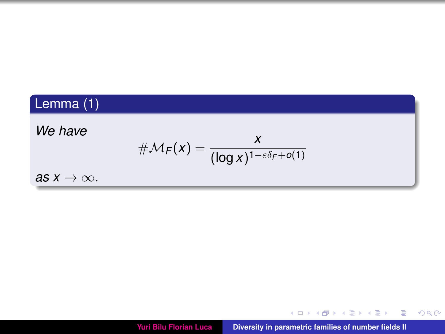# Lemma (1)

#### *We have*

$$
\#\mathcal{M}_F(x) = \frac{x}{(\log x)^{1-\varepsilon\delta_F+o(1)}}
$$

*as*  $x \rightarrow \infty$ *.* 



メロトメ 倒 トメ ミトメ ミト

 $2990$ 

重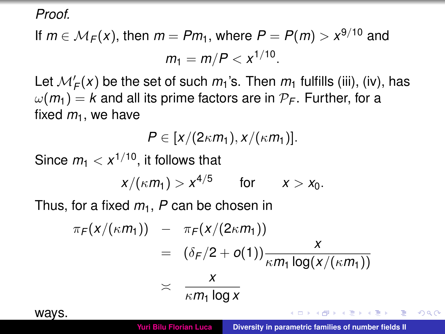*Proof.*

# If  $m \in M_F(x)$ , then  $m = Pm_1$ , where  $P = P(m) > x^{9/10}$  and  $m_1 = m/P < x^{1/10}$ .

Let  $\mathcal{M}'_F(x)$  be the set of such  $m_1$ 's. Then  $m_1$  fulfills (iii), (iv), has  $\omega(m_1) = k$  and all its prime factors are in  $\mathcal{P}_F$ . Further, for a fixed  $m<sub>1</sub>$ , we have

 $P \in [x/(2\kappa m_1), x/(\kappa m_1)].$ 

Since  $m_1 < x^{1/10}$ , it follows that

$$
x/(\kappa m_1) > x^{4/5} \qquad \text{for} \qquad x > x_0.
$$

Thus, for a fixed *m*1, *P* can be chosen in

$$
\pi_F(x/(\kappa m_1)) - \pi_F(x/(2\kappa m_1))
$$
  
=  $(\delta_F/2 + o(1)) \frac{x}{\kappa m_1 \log(x/(\kappa m_1))}$   
 $\times \frac{x}{\kappa m_1 \log x}$ 



<span id="page-4-0"></span>( ロ ) ( 何 ) ( ヨ ) ( ヨ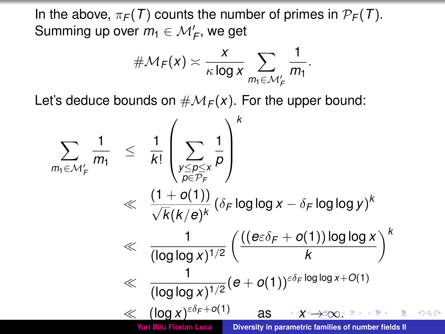In the above,  $\pi_F(T)$  counts the number of primes in  $\mathcal{P}_F(T)$ . Summing up over  $m_1 \in \mathcal{M}'_\mathcal{F}$ , we get

<span id="page-5-0"></span>
$$
\#\mathcal{M}_F(x) \asymp \frac{x}{\kappa \log x} \sum_{m_1 \in \mathcal{M}'_F} \frac{1}{m_1}.
$$

Let's deduce bounds on  $\#\mathcal{M}_F(x)$ . For the upper bound:

$$
\sum_{m_1 \in \mathcal{M}'_{\mathcal{F}}} \frac{1}{m_1} \leq \frac{1}{k!} \left( \sum_{\substack{y \leq p \leq x \\ p \in \mathcal{P}_{\mathcal{F}}}} \frac{1}{p} \right)^k
$$
\n
$$
\ll \frac{(1+o(1))}{\sqrt{k(k/e)^k}} (\delta_{\mathcal{F}} \log \log x - \delta_{\mathcal{F}} \log \log y)^k
$$
\n
$$
\ll \frac{1}{(\log \log x)^{1/2}} \left( \frac{((e \varepsilon \delta_{\mathcal{F}} + o(1)) \log \log x)}{k} \right)^k
$$
\n
$$
\ll \frac{1}{(\log \log x)^{1/2}} (e + o(1))^{\varepsilon \delta_{\mathcal{F}} \log \log x + O(1)}
$$
\n
$$
\ll \frac{(\log x)^{\varepsilon \delta_{\mathcal{F}} + o(1)}}{(\log \log x)^{1/2}} \quad \text{as} \quad \ll x \to \infty, \text{ and } \varepsilon \to \infty.
$$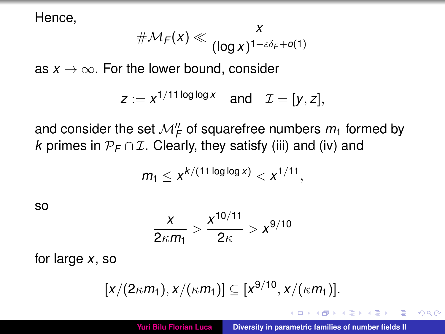Hence,

$$
\#\mathcal{M}_F(x) \ll \frac{x}{(\log x)^{1-\varepsilon\delta_F+o(1)}}
$$

as  $x \to \infty$ . For the lower bound, consider

$$
z := x^{1/11 \log \log x} \quad \text{and} \quad \mathcal{I} = [y, z],
$$

and consider the set  $\mathcal{M}''_F$  of squarefree numbers  $m_1$  formed by *k* primes in  $\mathcal{P}_F \cap \mathcal{I}$ . Clearly, they satisfy (iii) and (iv) and

$$
m_1 \leq x^{k/(11 \log \log x)} < x^{1/11}
$$

so

$$
\frac{x}{2\kappa m_1} > \frac{x^{10/11}}{2\kappa} > x^{9/10}
$$

for large *x*, so

$$
[x/(2\kappa m_1),x/(\kappa m_1)] \subseteq [x^{9/10},x/(\kappa m_1)].
$$

 $\left\{ \bigoplus \bullet \; \prec \; \exists \; \bullet \; \prec \; \exists$ 

<span id="page-6-0"></span> $2Q$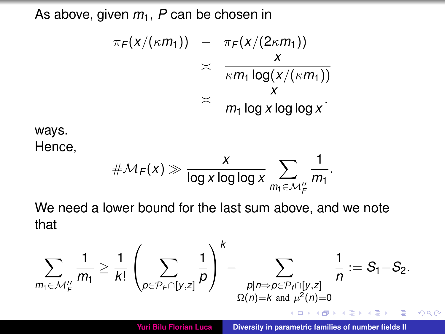As above, given  $m_1$ ,  $P$  can be chosen in

$$
\pi_F(x/(\kappa m_1)) - \pi_F(x/(2\kappa m_1))
$$
\n
$$
\asymp \frac{x}{\kappa m_1 \log(x/(\kappa m_1))}
$$
\n
$$
\asymp \frac{x}{m_1 \log x \log \log x}.
$$

ways.

Hence,

$$
\#\mathcal{M}_F(x) \gg \frac{x}{\log x \log \log x} \sum_{m_1 \in \mathcal{M}_F''} \frac{1}{m_1}.
$$

We need a lower bound for the last sum above, and we note that

$$
\sum_{m_1 \in \mathcal{M}'_F} \frac{1}{m_1} \geq \frac{1}{k!} \left( \sum_{p \in \mathcal{P}_F \cap [y,z]} \frac{1}{p} \right)^k - \sum_{\substack{p | n \Rightarrow p \in \mathcal{P}_f \cap [y,z] \\ \Omega(n) = k \text{ and } \mu^2(n) = 0}} \frac{1}{n} := S_1 - S_2.
$$
\nYuri Bilu Florian Luca

\nDiversity in parametric families of number fields II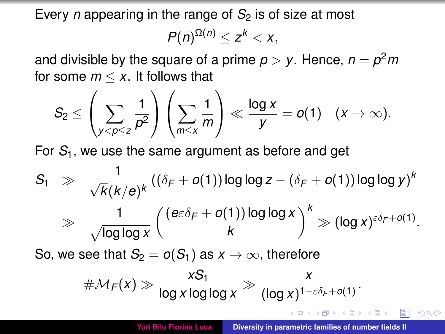Every *n* appearing in the range of  $S<sub>2</sub>$  is of size at most

$$
P(n)^{\Omega(n)}\leq z^k< x,
$$

and divisible by the square of a prime  $p > y$ . Hence,  $n = p^2m$ for some  $m < x$ . It follows that

$$
S_2 \leq \left(\sum_{y < p \leq z} \frac{1}{p^2}\right)\left(\sum_{m \leq x} \frac{1}{m}\right) \ll \frac{\log x}{y} = o(1) \quad (x \to \infty).
$$

For *S*1, we use the same argument as before and get

$$
S_1 \Rightarrow \frac{1}{\sqrt{k}(k/e)^k} ((\delta_F + o(1)) \log \log z - (\delta_F + o(1)) \log \log y)^k
$$
  

$$
\Rightarrow \frac{1}{\sqrt{\log \log x}} \left( \frac{(e \varepsilon \delta_F + o(1)) \log \log x}{k} \right)^k \gg (\log x)^{\varepsilon \delta_F + o(1)}.
$$

So, we see that  $S_2 = o(S_1)$  as  $x \to \infty$ , therefore

$$
\#\mathcal{M}_F(x) \gg \frac{xS_1}{\log x \log \log x} \gg \frac{x}{(\log x)^{1-\varepsilon\delta_F + o(1)}}.
$$

K ロ ⊁ K 御 ⊁ K 君 ⊁ K 君 ⊁

 $QQ$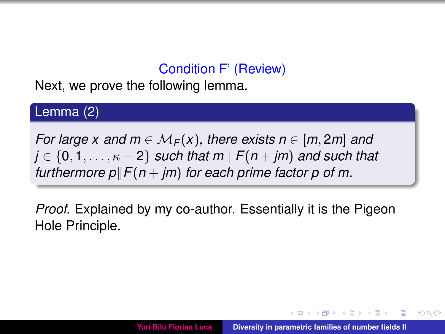## Condition F' (Review)

Next, we prove the following lemma.

#### Lemma (2)

*For large x and m*  $\in M_F(x)$ , there exists  $n \in [m, 2m]$  and  $j \in \{0, 1, \ldots, \kappa - 2\}$  *such that m*  $|F(n + jm)$  *and such that furthermore*  $p$  $|F(n + im)$  *for each prime factor p of m.* 

*Proof.* Explained by my co-author. Essentially it is the Pigeon Hole Principle.

**K ロ ト K 伺 ト K ヨ ト**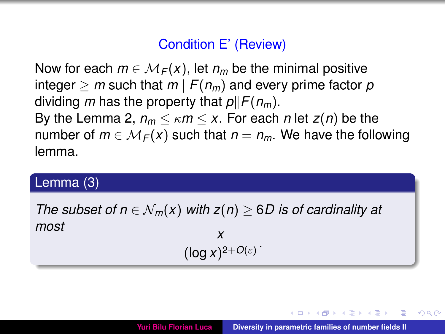#### Condition E' (Review)

Now for each  $m \in \mathcal{M}_F(x)$ , let  $n_m$  be the minimal positive integer  $\geq m$  such that  $m \mid F(n_m)$  and every prime factor  $p$ dividing *m* has the property that  $p||F(n_m)$ . By the Lemma 2,  $n_m \leq \kappa m \leq x$ . For each *n* let  $z(n)$  be the number of  $m \in M_F(x)$  such that  $n = n_m$ . We have the following lemma.

#### Lemma (3)

*The subset of n*  $\in$   $\mathcal{N}_m(x)$  *with*  $z(n) \ge 6$ *D is of cardinality at most x*

$$
\frac{x}{(\log x)^{2+O(\varepsilon)}}.
$$

<span id="page-10-0"></span>イロト イ母 トイヨ トイヨ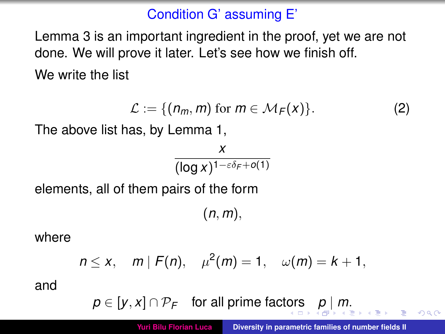# Condition G' assuming E'

Lemma 3 is an important ingredient in the proof, yet we are not done. We will prove it later. Let's see how we finish off. We write the list

$$
\mathcal{L} := \{ (n_m, m) \text{ for } m \in \mathcal{M}_F(x) \}. \tag{2}
$$

The above list has, by Lemma 1,

*x* (log *x*) 1−εδ*<sup>F</sup>* +*o*(1)

elements, all of them pairs of the form

<span id="page-11-0"></span>(*n*, *m*),

where

$$
n \le x
$$
,  $m | F(n)$ ,  $\mu^2(m) = 1$ ,  $\omega(m) = k + 1$ ,

and

$$
p \in [y, x] \cap \mathcal{P}_F \quad \text{for all prime factors} \quad p \mid m.
$$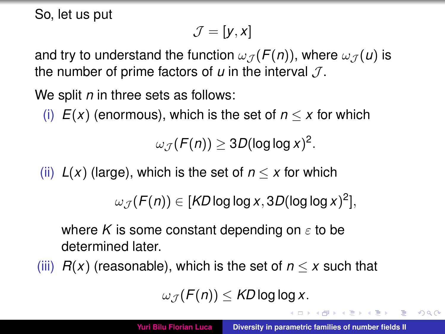So, let us put

$$
\mathcal{J}=[y,x]
$$

and try to understand the function  $\omega_{\mathcal{J}}(F(n))$ , where  $\omega_{\mathcal{J}}(u)$  is the number of prime factors of  $u$  in the interval  $\mathcal{J}$ .

We split *n* in three sets as follows:

(i)  $E(x)$  (enormous), which is the set of  $n \leq x$  for which

 $\omega_{\mathcal{J}}(\mathcal{F}(n)) \geq 3D(\log\log x)^2.$ 

(ii)  $L(x)$  (large), which is the set of  $n \leq x$  for which

 $\omega_{\mathcal{J}}(F(n)) \in [K\!D\log\log x, 3D(\log\log x)^2],$ 

where K is some constant depending on  $\varepsilon$  to be determined later.

(iii)  $R(x)$  (reasonable), which is the set of  $n \leq x$  such that

$$
\omega_{\mathcal{J}}(F(n)) \leq K D \log \log x.
$$

<span id="page-12-0"></span>イロメ イ団メ イヨメ イヨメー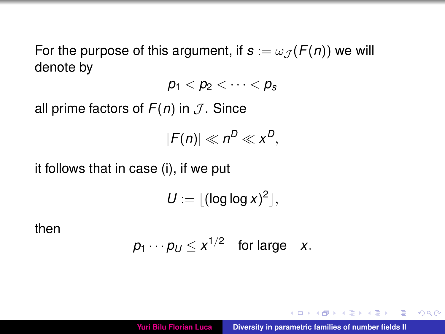For the purpose of this argument, if  $s := \omega_{\mathcal{J}}(F(n))$  we will denote by

$$
p_1 < p_2 < \cdots < p_s
$$

all prime factors of  $F(n)$  in  $J$ . Since

$$
|F(n)| \ll n^D \ll x^D,
$$

it follows that in case (i), if we put

$$
U := \lfloor (\log \log x)^2 \rfloor,
$$

then

$$
p_1\cdots p_U\leq x^{1/2} \quad \text{for large} \quad x.
$$

 $\left\{ \left\vert \left\langle \left\{ \mathbf{q}\right\} \right\rangle \right\vert \times\left\{ \left\vert \mathbf{q}\right\vert \right\} \right\}$ 

 $2Q$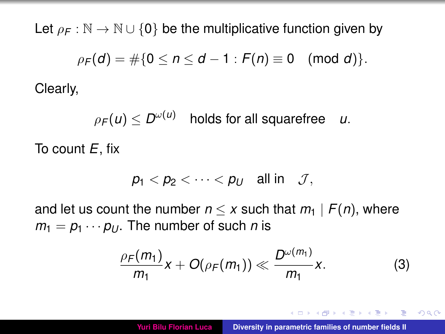Let  $\rho_F : \mathbb{N} \to \mathbb{N} \cup \{0\}$  be the multiplicative function given by

$$
\rho_F(d) = \#\{0 \leq n \leq d-1 : F(n) \equiv 0 \pmod{d}\}.
$$

Clearly,

 $\rho$ *F*(*u*)  $\leq D^{\omega(u)}$ holds for all squarefree u.

To count *E*, fix

$$
p_1 < p_2 < \cdots < p_U \quad \text{all in} \quad \mathcal{J},
$$

and let us count the number  $n \leq x$  such that  $m_1 \mid F(n)$ , where  $m_1 = p_1 \cdots p_U$ . The number of such *n* is

<span id="page-14-0"></span>
$$
\frac{\rho_F(m_1)}{m_1}x+O(\rho_F(m_1))\ll \frac{D^{\omega(m_1)}}{m_1}x.\tag{3}
$$

イロト イ母ト イヨト イヨト

 $2Q$ 

÷.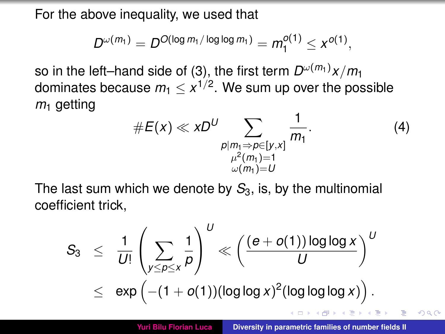For the above inequality, we used that

$$
D^{\omega(m_1)} = D^{O(\log m_1/\log \log m_1)} = m_1^{O(1)} \leq x^{O(1)},
$$

so in the left–hand side of [\(3\)](#page-14-0), the first term  $D^{\omega(m_1)}x/m_1$ dominates because  $m_1 \leq x^{1/2}.$  We sum up over the possible  $m<sub>1</sub>$  getting

<span id="page-15-1"></span><span id="page-15-0"></span>
$$
\#E(x) \ll xD^U \sum_{\substack{p|m_1 \Rightarrow p \in [y,x] \\ \mu^2(m_1)=1 \\ \omega(m_1)=U}} \frac{1}{m_1}.
$$
 (4)

The last sum which we denote by  $S_3$ , is, by the multinomial coefficient trick,

$$
\begin{array}{lcl} S_3 & \leq & \displaystyle \frac{1}{U!} \left( \displaystyle \sum_{y \leq \rho \leq x} \frac{1}{\rho} \right)^U \ll \left( \frac{(e+o(1)) \log \log x}{U} \right)^U \\ & \leq & \displaystyle \exp \left( -(1+o(1)) (\log \log x)^2 (\log \log \log x) \right). \end{array}
$$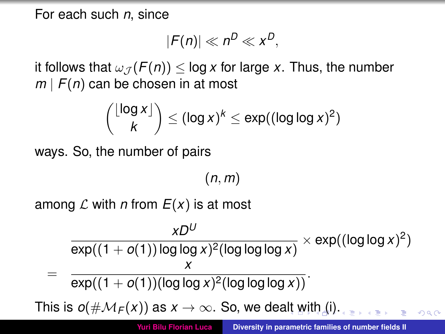For each such *n*, since

$$
|F(n)| \ll n^D \ll x^D,
$$

it follows that  $\omega_{\mathcal{J}}(F(n)) \leq \log x$  for large *x*. Thus, the number *m* | *F*(*n*) can be chosen in at most

$$
\binom{\lfloor \log x \rfloor}{k} \leq (\log x)^k \leq \exp((\log \log x)^2)
$$

ways. So, the number of pairs

<span id="page-16-0"></span>(*n*, *m*)

among  $\mathcal L$  with *n* from  $E(x)$  is at most

$$
\frac{xD^U}{\exp((1+o(1))\log\log x)^2(\log\log\log x)} \times \exp((\log\log x)^2)
$$
  
= 
$$
\frac{x}{\exp((1+o(1))(\log\log x)^2(\log\log\log x))}
$$
.  
This is  $o(\#\mathcal{M}_F(x))$  as  $x \to \infty$ . So, we dealt with (i).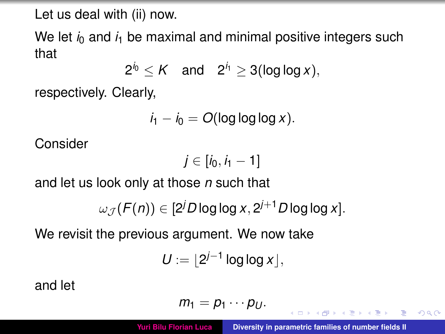Let us deal with (ii) now.

We let  $i_0$  and  $i_1$  be maximal and minimal positive integers such that

$$
2^{i_0} \leq K \quad \text{and} \quad 2^{i_1} \geq 3(\log \log x),
$$

respectively. Clearly,

$$
i_1 - i_0 = O(\log \log \log x).
$$

Consider

$$
j\in [i_0,i_1-1]
$$

and let us look only at those *n* such that

$$
\omega_{\mathcal{J}}(F(n)) \in [2^j D \log \log x, 2^{j+1} D \log \log x].
$$

We revisit the previous argument. We now take

$$
U:=\lfloor 2^{j-1}\log\log x\rfloor,
$$

and let

$$
m_1=p_1\cdots p_U.
$$

<span id="page-17-0"></span>**K 母 ▶ ( ヨ ▶ ) ←**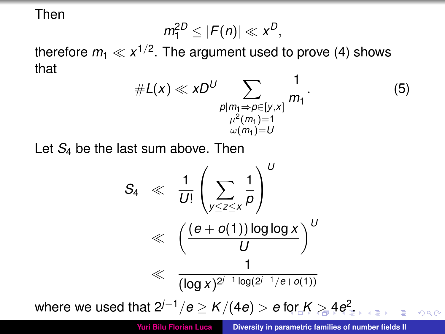Then

$$
m_1^{2D} \leq |F(n)| \ll x^D,
$$

therefore  $m_1 \ll x^{1/2}$ . The argument used to prove [\(4\)](#page-15-1) shows that

<span id="page-18-0"></span>#*L*(*x*) *xD<sup>U</sup>* X *p*|*m*1⇒*p*∈[*y*,*x*] µ 2 (*m*1)=1 ω(*m*1)=*U* 1 *m*<sup>1</sup> . (5)

Let *S*<sup>4</sup> be the last sum above. Then

$$
S_4 \ll \frac{1}{U!} \left(\sum_{y \leq z \leq x} \frac{1}{p}\right)^U
$$
  

$$
\ll \left(\frac{(e+o(1))\log\log x}{U}\right)^U
$$
  

$$
\ll \frac{1}{(\log x)^{2^{j-1}\log(2^{j-1}/e+o(1))}}
$$
  
where we used that  $2^{j-1}/e \geq K/(4e) > e$  for  $K \geq 4e^2$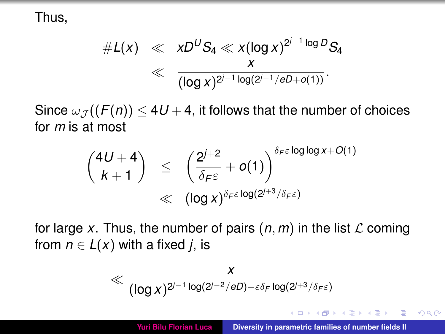Thus,

$$
\#L(x) \ll xD^US_4 \ll x(\log x)^{2^{j-1}\log D}S_4
$$
  

$$
\ll \frac{x}{(\log x)^{2^{j-1}\log(2^{j-1}/eD+o(1))}}.
$$

Since  $\omega_{\mathcal{J}}((F(n)) \leq 4U + 4$ , it follows that the number of choices for *m* is at most

$$
\binom{4U+4}{k+1} \leq \left(\frac{2^{j+2}}{\delta_{\digamma\epsilon}}+o(1)\right)^{\delta_{\digamma\epsilon}\log\log x+O(1)}
$$
  

$$
\ll (\log x)^{\delta_{\digamma\epsilon}\log(2^{j+3}/\delta_{\digamma\epsilon})}
$$

for large *x*. Thus, the number of pairs  $(n, m)$  in the list  $\mathcal L$  coming from  $n \in L(x)$  with a fixed *j*, is

$$
\ll \frac{x}{(\log x)^{2^{j-1}\log(2^{j-2}/eD)-\varepsilon\delta_F\log(2^{j+3}/\delta_F\varepsilon)}}
$$

イロト イ母 トイラ トイラト

<span id="page-19-0"></span>Þ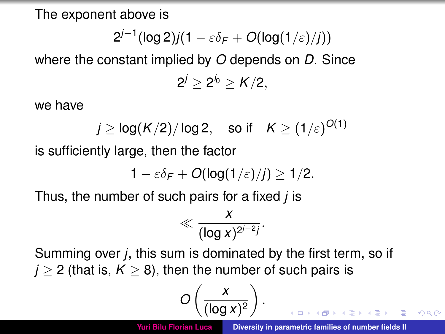The exponent above is

$$
2^{j-1}(\log 2)j(1-\varepsilon\delta_F+O(\log(1/\varepsilon)/j))
$$

where the constant implied by *O* depends on *D*. Since  $2^j \geq 2^{j_0} \geq K/2,$ 

we have

$$
j \ge \log(K/2)/\log 2
$$
, so if  $K \ge (1/\varepsilon)^{O(1)}$ 

is sufficiently large, then the factor

$$
1-\varepsilon\delta_F+O(\text{log}(1/\varepsilon)/j)\geq 1/2.
$$

Thus, the number of such pairs for a fixed *j* is

$$
\ll \frac{x}{(\log x)^{2^{j-2}j}}.
$$

Summing over *j*, this sum is dominated by the first term, so if  $j > 2$  (that is,  $K > 8$ ), then the number of such pairs is

$$
O\left(\frac{x}{(\log x)^2}\right).
$$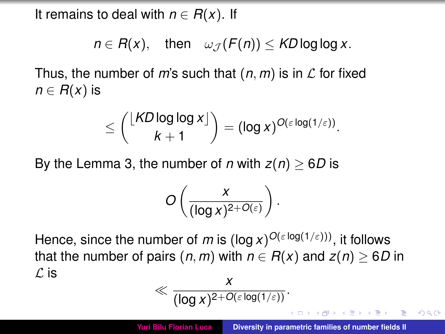It remains to deal with  $n \in R(x)$ . If

$$
n \in R(x), \quad \text{then} \quad \omega_{\mathcal{J}}(F(n)) \leq K D \log \log x.
$$

Thus, the number of *m*'s such that  $(n, m)$  is in  $\mathcal L$  for fixed  $n \in R(x)$  is

$$
\leq {\lfloor K D \log \log x \rfloor \choose k+1} = (\log x)^{O(\varepsilon \log(1/\varepsilon))}.
$$

By the Lemma 3, the number of *n* with  $z(n) \geq 6D$  is

$$
O\left(\frac{x}{(\log x)^{2+O(\varepsilon)}}\right).
$$

Hence, since the number of *m* is (log *x*)<sup>*O*(εlog(1/ε)))</sup>, it follows that the number of pairs  $(n, m)$  with  $n \in R(x)$  and  $z(n) \geq 6D$  in  $\mathcal{L}$  is *x*

$$
\ll \frac{x}{(\log x)^{2+O(\varepsilon \log(1/\varepsilon))}}.
$$

イロト イ押ト イヨト イヨ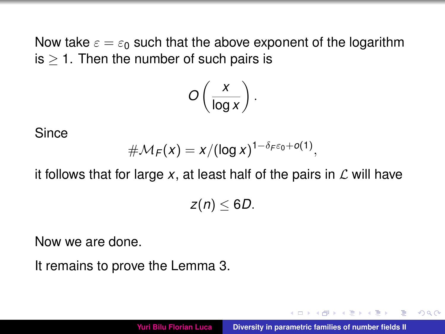Now take  $\varepsilon = \varepsilon_0$  such that the above exponent of the logarithm  $is > 1$ . Then the number of such pairs is

$$
O\left(\frac{x}{\log x}\right).
$$

Since

$$
\#\mathcal{M}_F(x)=x/(\log x)^{1-\delta_F\varepsilon_0+o(1)},
$$

it follows that for large  $x$ , at least half of the pairs in  $\mathcal L$  will have

$$
z(n)\leq 6D.
$$

Now we are done.

It remains to prove the Lemma 3.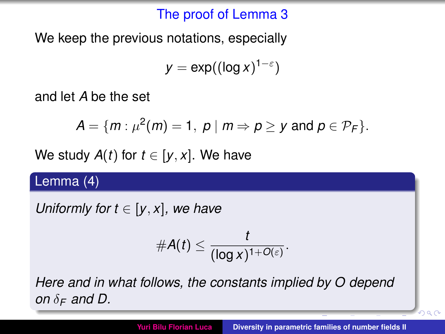#### The proof of Lemma 3

We keep the previous notations, especially

 $y = \exp((\log x)^{1-\varepsilon})$ 

and let *A* be the set

$$
A = \{m : \mu^2(m) = 1, \ p \mid m \Rightarrow p \geq y \text{ and } p \in \mathcal{P}_F\}.
$$

We study  $A(t)$  for  $t \in [y, x]$ . We have

#### Lemma (4)

*Uniformly for*  $t \in [y, x]$ *, we have* 

$$
\#A(t)\leq \frac{t}{(\log x)^{1+O(\varepsilon)}}.
$$

*Here and in what follows, the constants implied by O depend on*  $\delta$ *F and D*.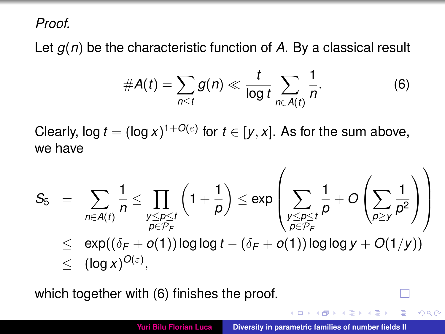*Proof.*

Let *g*(*n*) be the characteristic function of *A*. By a classical result

<span id="page-24-0"></span>
$$
\#A(t)=\sum_{n\leq t}g(n)\ll\frac{t}{\log t}\sum_{n\in A(t)}\frac{1}{n}.
$$
 (6)

Clearly, log  $t = (\log x)^{1+O(\varepsilon)}$  for  $t \in [y, x]$ . As for the sum above, we have

$$
S_5 = \sum_{n \in A(t)} \frac{1}{n} \le \prod_{\substack{y \le p \le t \\ p \in \mathcal{P}_F}} \left(1 + \frac{1}{p}\right) \le \exp\left(\sum_{\substack{y \le p \le t \\ p \in \mathcal{P}_F}} \frac{1}{p} + O\left(\sum_{p \ge y} \frac{1}{p^2}\right)\right)
$$
  

$$
\le \exp((\delta_F + o(1)) \log \log t - (\delta_F + o(1)) \log \log y + O(1/y))
$$
  

$$
\le (\log x)^{O(\varepsilon)},
$$

which together with [\(6\)](#page-24-0) finishes the proof.

 $QQ$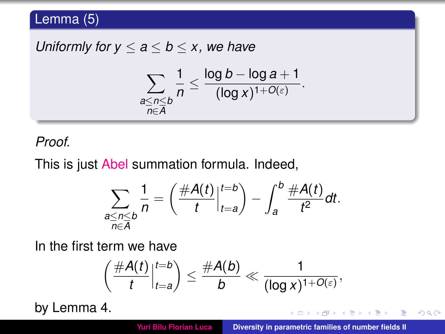## Lemma (5)

*Uniformly for*  $y \le a \le b \le x$ *, we have* 

$$
\sum_{\substack{a \leq n \leq b \\ n \in \overline{A}}} \frac{1}{n} \leq \frac{\log b - \log a + 1}{(\log x)^{1 + O(\varepsilon)}}.
$$

#### *Proof.*

This is just Abel summation formula. Indeed,

$$
\sum_{\substack{a \leq n \leq b \\ n \in \overline{A}}} \frac{1}{n} = \left( \frac{\#A(t)}{t} \Big|_{t=a}^{t=b} \right) - \int_{a}^{b} \frac{\#A(t)}{t^2} dt.
$$

In the first term we have

$$
\left(\frac{\#A(t)}{t}\Big|_{t=a}^{t=b}\right)\leq \frac{\#A(b)}{b}\ll \frac{1}{(\log x)^{1+O(\varepsilon)}},
$$

by Lemma 4.

 $4 \oplus 14 \oplus 14$ 

 $299$ 

重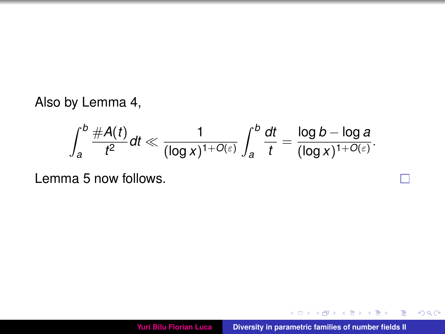Also by Lemma 4,

$$
\int_a^b \frac{\#A(t)}{t^2} dt \ll \frac{1}{(\log x)^{1+O(\varepsilon)}} \int_a^b \frac{dt}{t} = \frac{\log b - \log a}{(\log x)^{1+O(\varepsilon)}}.
$$

Lemma 5 now follows.

イロト イ団 トイミトイモ

П

<span id="page-26-0"></span>E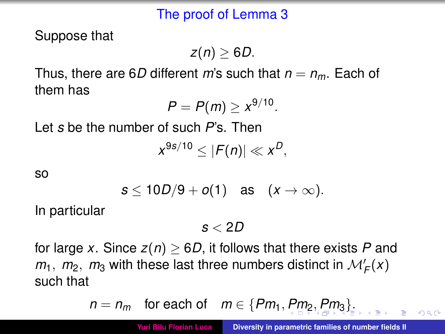#### The proof of Lemma 3

Suppose that

*z*(*n*) ≥ 6*D*.

Thus, there are 6*D* different *m*'s such that  $n = n_m$ . Each of them has

$$
P=P(m)\geq x^{9/10}.
$$

Let *s* be the number of such *P*'s. Then

$$
x^{9s/10}\leq|F(n)|\ll x^D,
$$

so

$$
s\leq 10D/9+o(1) \quad \text{as} \quad (x\to\infty).
$$

In particular

*s* < 2*D*

for large *x*. Since  $z(n) \geq 6D$ , it follows that there exists P and  $m_1$ ,  $m_2$ ,  $m_3$  with these last three numbers distinct in  $\mathcal{M}'_F(x)$ such that

$$
n = n_m
$$
 for each of  $m \in \{Pm_1, Pm_2, Pm_3\}$ .

<span id="page-27-0"></span> $\Omega$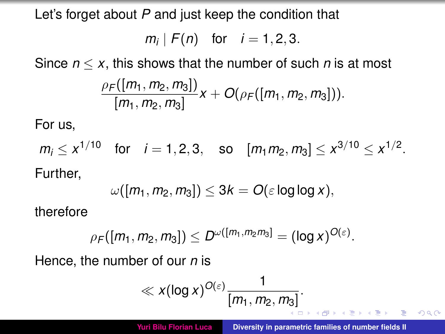Let's forget about *P* and just keep the condition that

$$
m_i | F(n)
$$
 for  $i = 1, 2, 3$ .

Since  $n \leq x$ , this shows that the number of such *n* is at most

$$
\frac{\rho_F([m_1,m_2,m_3])}{[m_1,m_2,m_3]}x+O(\rho_F([m_1,m_2,m_3])).
$$

For us,

 $m_i \leq x^{1/10}$  for  $i = 1, 2, 3$ , so  $[m_1 m_2, m_3] \leq x^{3/10} \leq x^{1/2}$ . Further,

$$
\omega([m_1,m_2,m_3])\leq 3k=O(\varepsilon\log\log x),
$$

therefore

$$
\rho_F([m_1,m_2,m_3])\leq D^{\omega([m_1,m_2m_3])}=(\log x)^{O(\varepsilon)}.
$$

Hence, the number of our *n* is

$$
\ll x(\log x)^{O(\varepsilon)}\frac{1}{[m_1,m_2,m_3]}.
$$

<span id="page-28-0"></span>K個→ K 目→ K 目→ 一目 → K) Q Q →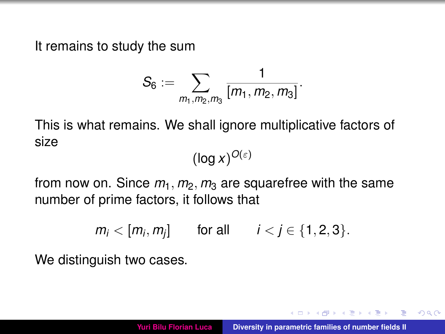It remains to study the sum

$$
S_6:=\sum_{m_1,m_2,m_3}\frac{1}{[m_1,m_2,m_3]}.
$$

This is what remains. We shall ignore multiplicative factors of size

 $(\log x)^{O(\varepsilon)}$ 

from now on. Since  $m_1$ ,  $m_2$ ,  $m_3$  are squarefree with the same number of prime factors, it follows that

 $m_i < [m_i, m_j]$  for all  $i < j \in \{1, 2, 3\}.$ 

We distinguish two cases.

→ 何 ト → ヨ ト → ヨ ト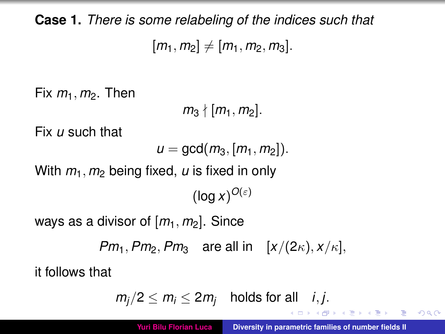**Case 1.** *There is some relabeling of the indices such that*  $[m_1, m_2] \neq [m_1, m_2, m_3].$ 

Fix  $m_1$ ,  $m_2$ . Then

 $m_3$   $\{ [m_1, m_2] \}$ .

Fix *u* such that

 $u = \gcd(m_3, [m_1, m_2])$ .

With  $m_1$ ,  $m_2$  being fixed,  $\mu$  is fixed in only

 $(\log x)^{O(\varepsilon)}$ 

ways as a divisor of  $[m_1, m_2]$ . Since

*Pm*<sub>1</sub>, *Pm*<sub>2</sub>, *Pm*<sub>3</sub> are all in  $[x/(2\kappa), x/\kappa]$ ,

it follows that

 $m_j/2 \le m_j \le 2m_j$  holds for all *i*, *j*.

 $299$ 

<span id="page-30-0"></span>÷.

 $\left\{ \bigoplus_{i=1}^n \mathbb{I} \left( \bigoplus_{i=1}^n \mathbb{I} \left( \bigoplus_{i=1}^n \mathbb{I} \left( \bigoplus_{i=1}^n \mathbb{I} \left( \bigoplus_{i=1}^n \mathbb{I} \left( \bigoplus_{i=1}^n \mathbb{I} \left( \bigoplus_{i=1}^n \mathbb{I} \left( \bigoplus_{i=1}^n \mathbb{I} \left( \bigoplus_{i=1}^n \mathbb{I} \left( \bigoplus_{i=1}^n \mathbb{I} \left( \bigoplus_{i=1}^n \mathbb{I$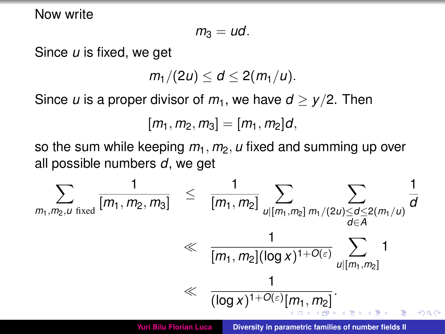Now write

$$
m_3=ud.
$$

Since *u* is fixed, we get

$$
m_1/(2u)\leq d\leq 2(m_1/u).
$$

Since *u* is a proper divisor of  $m_1$ , we have  $d > \gamma/2$ . Then

<span id="page-31-0"></span>
$$
[m_1, m_2, m_3] = [m_1, m_2]d,
$$

so the sum while keeping  $m_1$ ,  $m_2$ ,  $u$  fixed and summing up over all possible numbers *d*, we get

$$
\sum_{m_1,m_2,u \text{ fixed}}\frac{1}{[m_1,m_2,m_3]} \leq \frac{1}{[m_1,m_2]}\sum_{\substack{u|[m_1,m_2] \ m_1/(2u)\leq d \leq 2(m_1/u) \\ d \in A}}\frac{1}{\frac{1}{[m_1,m_2]([{\rm log}\,x)^{1+O(\varepsilon)}\sum_{u|[m_1,m_2]}}1}{\left(\frac{1}{[{\rm log}\,x)^{1+O(\varepsilon)}[m_1,m_2]}\right)}.
$$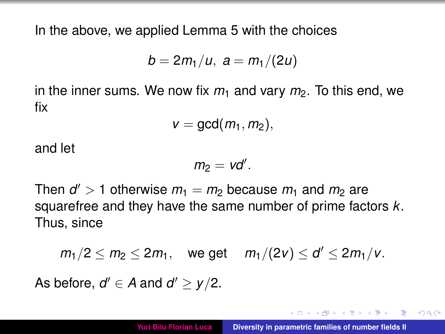In the above, we applied Lemma 5 with the choices

$$
b=2m_1/u, a=m_1/(2u)
$$

in the inner sums. We now fix  $m_1$  and vary  $m_2$ . To this end, we fix

$$
v=\gcd(m_1,m_2),
$$

and let

<span id="page-32-0"></span>
$$
m_2 = vd'.
$$

Then  $d' > 1$  otherwise  $m_1 = m_2$  because  $m_1$  and  $m_2$  are squarefree and they have the same number of prime factors *k*. Thus, since

$$
m_1/2 \le m_2 \le 2m_1
$$
, we get  $m_1/(2v) \le d' \le 2m_1/v$ .

As before,  $d' \in A$  and  $d' \geq y/2$ .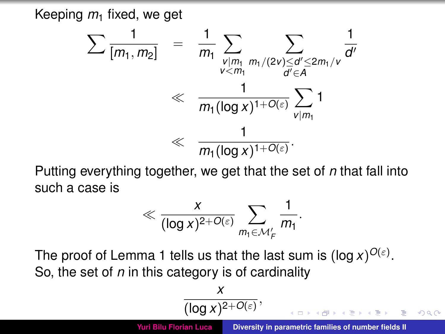Keeping  $m_1$  fixed, we get

$$
\sum \frac{1}{[m_1, m_2]} = \frac{1}{m_1} \sum_{\substack{v | m_1 \\ v < m_1}} \sum_{\substack{m_1/(2v) \le d' \le 2m_1/v \\ d' \in A}} \frac{1}{d'} \ll \frac{1}{m_1 (\log x)^{1+O(\varepsilon)}} \sum_{v | m_1} 1 \ll \frac{1}{m_1 (\log x)^{1+O(\varepsilon)}}.
$$

Putting everything together, we get that the set of *n* that fall into such a case is

$$
\ll \frac{x}{(\log x)^{2+O(\varepsilon)}}\sum_{m_1\in\mathcal{M}'_F}\frac{1}{m_1}.
$$

The proof of Lemma 1 tells us that the last sum is  $(\log x)^{O(\varepsilon)}$ . So, the set of *n* in this category is of cardinality

$$
\frac{x}{(\log x)^{2+O(\varepsilon)}},
$$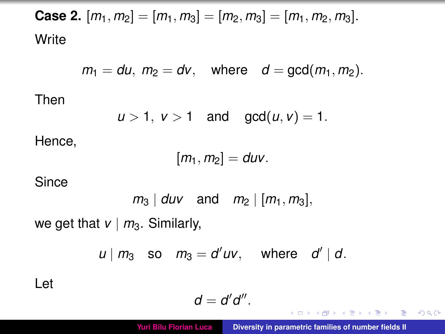**Case 2.**  $[m_1, m_2] = [m_1, m_3] = [m_2, m_3] = [m_1, m_2, m_3]$ . **Write** 

$$
m_1 = du
$$
,  $m_2 = dv$ , where  $d = \gcd(m_1, m_2)$ .

Then

$$
u>1, v>1 \text{ and } \gcd(u,v)=1.
$$

Hence,

$$
[m_1,m_2]=duv.
$$

Since

$$
m_3 \mid duv
$$
 and  $m_2 \mid [m_1, m_3]$ ,

we get that  $v \mid m_3$ . Similarly,

$$
u \mid m_3 \quad \text{so} \quad m_3 = d'uv, \quad \text{where} \quad d' \mid d.
$$

Let

$$
d=d'd''.
$$

**K ロメ X 御 メ X 君 メ X 君** 

重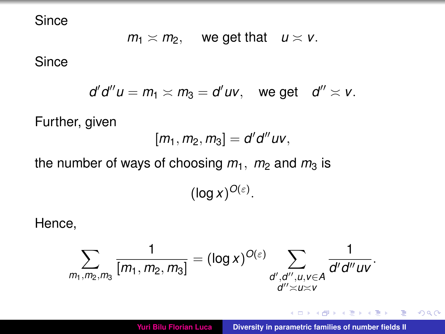**Since** 

 $m_1 \times m_2$ , we get that  $u \times v$ .

**Since** 

$$
d'd''u=m_1\asymp m_3=d'uv, \quad \text{we get} \quad d''\asymp v.
$$

Further, given

$$
[m_1, m_2, m_3] = d'd''uv,
$$

the number of ways of choosing  $m_1$ ,  $m_2$  and  $m_3$  is

 $(\log x)^{O(\varepsilon)}$ .

Hence,

$$
\sum_{m_1,m_2,m_3} \frac{1}{[m_1,m_2,m_3]} = (\log x)^{O(\varepsilon)} \sum_{\substack{d',d'',u,v \in A \\ d'' \asymp u \asymp v}} \frac{1}{d'd''uv}.
$$

イロト イ母ト イヨト イヨト

 $299$ 

重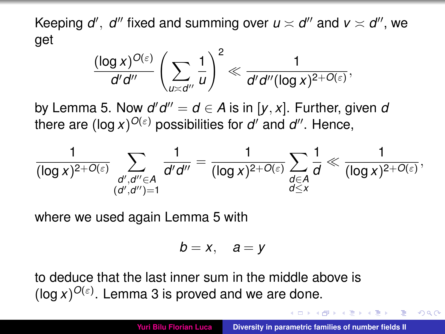Keeping  $d'$ ,  $d''$  fixed and summing over  $u \asymp d''$  and  $v \asymp d''$ , we get

$$
\frac{(\log x)^{O(\varepsilon)}}{d'd''}\left(\sum_{u\asymp d''}\frac{1}{u}\right)^2\ll \frac{1}{d'd''(\log x)^{2+O(\varepsilon)}},
$$

by Lemma 5. Now  $d'd'' = d \in A$  is in  $[y, x]$ . Further, given *a* there are  $(\log x)^{O(\varepsilon)}$  possibilities for  $d'$  and  $d''$ . Hence,

$$
\frac{1}{(\log x)^{2+O(\varepsilon)}}\sum_{\substack{d',d''\in A\\(d',d'')=1}}\frac{1}{d'd''}=\frac{1}{(\log x)^{2+O(\varepsilon)}}\sum_{\substack{d\in A\\d\leq x}}\frac{1}{d}\ll \frac{1}{(\log x)^{2+O(\varepsilon)}},
$$

where we used again Lemma 5 with

$$
b=x, \quad a=y
$$

to deduce that the last inner sum in the middle above is  $(\log x)^{O(\varepsilon)}$ . Lemma 3 is proved and we are done.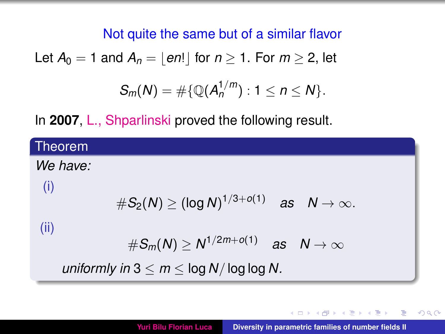#### Not quite the same but of a similar flavor

Let 
$$
A_0 = 1
$$
 and  $A_n = \lfloor en! \rfloor$  for  $n \ge 1$ . For  $m \ge 2$ , let

$$
S_m(N) = \#\{ \mathbb{Q}(A_n^{1/m}) : 1 \leq n \leq N \}.
$$

In **2007**, L., Shparlinski proved the following result.

| Theorem                                                       |  |
|---------------------------------------------------------------|--|
| We have:                                                      |  |
| (i)<br>$#S_2(N) \geq (\log N)^{1/3+o(1)}$ as $N \to \infty$ . |  |
| (ii)<br>$\#S_m(N) \ge N^{1/2m+o(1)}$ as $N \to \infty$        |  |
| uniformly in $3 \le m \le \log N/\log \log N$ .               |  |

**K ロメ K 御 メ K 唐 メ K 唐**